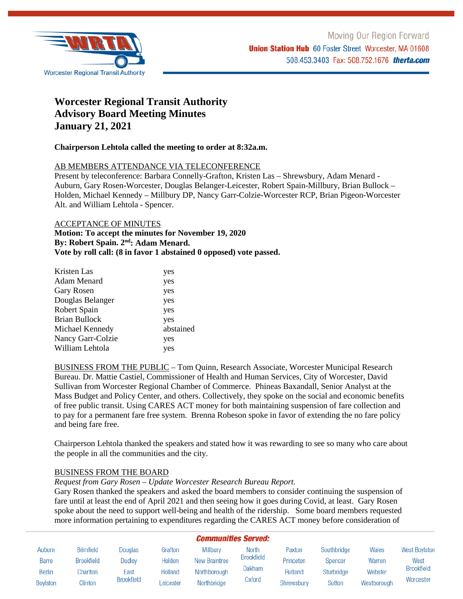

# **Worcester Regional Transit Authority Advisory Board Meeting Minutes January 21, 2021**

## **Chairperson Lehtola called the meeting to order at 8:32a.m.**

## AB MEMBERS ATTENDANCE VIA TELECONFERENCE

Present by teleconference: Barbara Connelly-Grafton, Kristen Las – Shrewsbury, Adam Menard - Auburn, Gary Rosen-Worcester, Douglas Belanger-Leicester, Robert Spain-Millbury, Brian Bullock – Holden, Michael Kennedy – Millbury DP, Nancy Garr-Colzie-Worcester RCP, Brian Pigeon-Worcester Alt. and William Lehtola - Spencer.

## ACCEPTANCE OF MINUTES

**Motion: To accept the minutes for November 19, 2020 By: Robert Spain. 2nd: Adam Menard. Vote by roll call: (8 in favor 1 abstained 0 opposed) vote passed.** 

| Kristen Las       | yes       |
|-------------------|-----------|
| Adam Menard       | yes       |
| <b>Gary Rosen</b> | yes       |
| Douglas Belanger  | yes       |
| Robert Spain      | yes       |
| Brian Bullock     | yes       |
| Michael Kennedy   | abstained |
| Nancy Garr-Colzie | yes       |
| William Lehtola   | yes       |

BUSINESS FROM THE PUBLIC – Tom Quinn, Research Associate, Worcester Municipal Research Bureau. Dr. Mattie Castiel, Commissioner of Health and Human Services, City of Worcester, David Sullivan from Worcester Regional Chamber of Commerce. Phineas Baxandall, Senior Analyst at the Mass Budget and Policy Center, and others. Collectively, they spoke on the social and economic benefits of free public transit. Using CARES ACT money for both maintaining suspension of fare collection and to pay for a permanent fare free system. Brenna Robeson spoke in favor of extending the no fare policy and being fare free.

Chairperson Lehtola thanked the speakers and stated how it was rewarding to see so many who care about the people in all the communities and the city.

## BUSINESS FROM THE BOARD

# *Request from Gary Rosen – Update Worcester Research Bureau Report.*

Gary Rosen thanked the speakers and asked the board members to consider continuing the suspension of fare until at least the end of April 2021 and then seeing how it goes during Covid, at least. Gary Rosen spoke about the need to support well-being and health of the ridership. Some board members requested more information pertaining to expenditures regarding the CARES ACT money before consideration of

| <b>Communities Served:</b> |                   |                   |                |               |                   |                |             |             |                      |
|----------------------------|-------------------|-------------------|----------------|---------------|-------------------|----------------|-------------|-------------|----------------------|
| Auburn                     | <b>Brimfield</b>  | Douglas           | Grafton        | Millbury      | <b>North</b>      | Paxton         | Southbridge | Wales       | <b>West Boylston</b> |
| <b>Barre</b>               | <b>Brookfield</b> | Dudlev            | Holden         | New Braintree | <b>Brookfield</b> | Princeton      | Spencer     | Warren      | West                 |
| <b>Berlin</b>              | Charlton          | East              | <b>Holland</b> | Northborough  | 0akham            | <b>Rutland</b> | Sturbridge  | Webster     | <b>Brookfield</b>    |
| <b>Boylston</b>            | Clinton           | <b>Brookfield</b> | Leicester      | Northbridge   | Oxford            | Shrewsbury     | Sutton      | Westborough | Worcester            |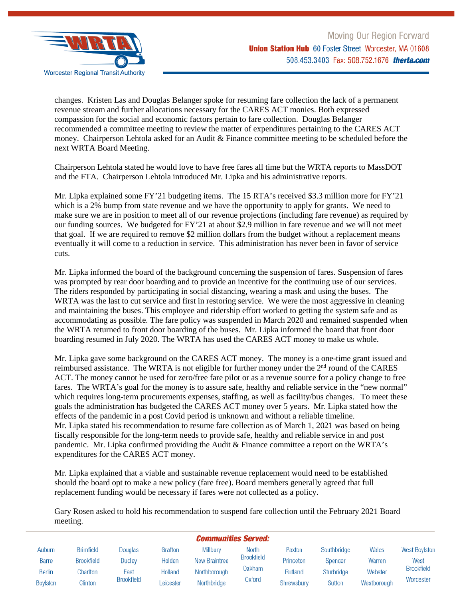

changes. Kristen Las and Douglas Belanger spoke for resuming fare collection the lack of a permanent revenue stream and further allocations necessary for the CARES ACT monies. Both expressed compassion for the social and economic factors pertain to fare collection. Douglas Belanger recommended a committee meeting to review the matter of expenditures pertaining to the CARES ACT money. Chairperson Lehtola asked for an Audit & Finance committee meeting to be scheduled before the next WRTA Board Meeting.

Chairperson Lehtola stated he would love to have free fares all time but the WRTA reports to MassDOT and the FTA. Chairperson Lehtola introduced Mr. Lipka and his administrative reports.

Mr. Lipka explained some FY'21 budgeting items. The 15 RTA's received \$3.3 million more for FY'21 which is a 2% bump from state revenue and we have the opportunity to apply for grants. We need to make sure we are in position to meet all of our revenue projections (including fare revenue) as required by our funding sources. We budgeted for FY'21 at about \$2.9 million in fare revenue and we will not meet that goal. If we are required to remove \$2 million dollars from the budget without a replacement means eventually it will come to a reduction in service. This administration has never been in favor of service cuts.

Mr. Lipka informed the board of the background concerning the suspension of fares. Suspension of fares was prompted by rear door boarding and to provide an incentive for the continuing use of our services. The riders responded by participating in social distancing, wearing a mask and using the buses. The WRTA was the last to cut service and first in restoring service. We were the most aggressive in cleaning and maintaining the buses. This employee and ridership effort worked to getting the system safe and as accommodating as possible. The fare policy was suspended in March 2020 and remained suspended when the WRTA returned to front door boarding of the buses. Mr. Lipka informed the board that front door boarding resumed in July 2020. The WRTA has used the CARES ACT money to make us whole.

Mr. Lipka gave some background on the CARES ACT money. The money is a one-time grant issued and reimbursed assistance. The WRTA is not eligible for further money under the 2nd round of the CARES ACT. The money cannot be used for zero/free fare pilot or as a revenue source for a policy change to free fares. The WRTA's goal for the money is to assure safe, healthy and reliable service in the "new normal" which requires long-term procurements expenses, staffing, as well as facility/bus changes. To meet these goals the administration has budgeted the CARES ACT money over 5 years. Mr. Lipka stated how the effects of the pandemic in a post Covid period is unknown and without a reliable timeline. Mr. Lipka stated his recommendation to resume fare collection as of March 1, 2021 was based on being fiscally responsible for the long-term needs to provide safe, healthy and reliable service in and post pandemic. Mr. Lipka confirmed providing the Audit & Finance committee a report on the WRTA's expenditures for the CARES ACT money.

Mr. Lipka explained that a viable and sustainable revenue replacement would need to be established should the board opt to make a new policy (fare free). Board members generally agreed that full replacement funding would be necessary if fares were not collected as a policy.

Gary Rosen asked to hold his recommendation to suspend fare collection until the February 2021 Board meeting.

| <b>Communities Served:</b> |                   |                   |           |                      |                   |            |                |             |                      |
|----------------------------|-------------------|-------------------|-----------|----------------------|-------------------|------------|----------------|-------------|----------------------|
| Auburn                     | <b>Brimfield</b>  | Douglas           | Grafton   | Millbury             | <b>North</b>      | Paxton     | Southbridge    | Wales       | <b>West Boylston</b> |
| Barre                      | <b>Brookfield</b> | Dudlev            | Holden    | <b>New Braintree</b> | <b>Brookfield</b> | Princeton  | <b>Spencer</b> | Warren      | West                 |
| <b>Berlin</b>              | Charlton          | East              | Holland   | Northborough         | Oakham            | Rutland    | Sturbridge     | Webster     | <b>Brookfield</b>    |
| <b>Boylston</b>            | Clinton           | <b>Brookfield</b> | Leicester | Northbridge          | Oxford            | Shrewsbury | Sutton         | Westborough | Worcester            |